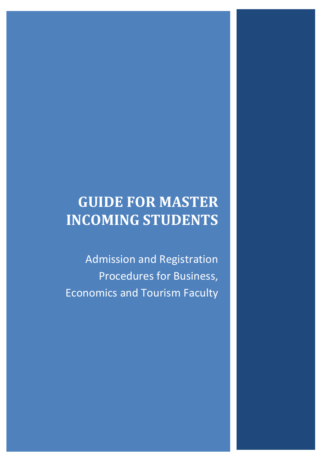# GUIDE FOR MASTER INCOMING STUDENTS

Admission and Registration Procedures for Business, Economics and Tourism Faculty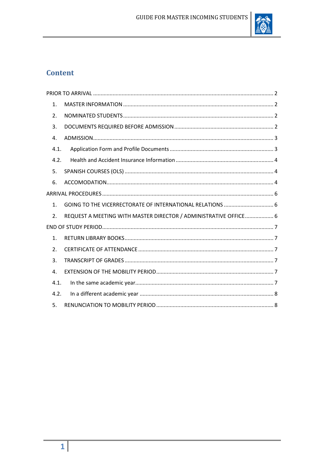

## **Content**

| 1.             |                                                                  |  |
|----------------|------------------------------------------------------------------|--|
| 2.             |                                                                  |  |
| 3.             |                                                                  |  |
| 4.             |                                                                  |  |
| 4.1.           |                                                                  |  |
| 4.2.           |                                                                  |  |
| 5.             |                                                                  |  |
| 6.             |                                                                  |  |
|                |                                                                  |  |
| 1 <sub>1</sub> | GOING TO THE VICERRECTORATE OF INTERNATIONAL RELATIONS  6        |  |
| 2.             | REQUEST A MEETING WITH MASTER DIRECTOR / ADMINISTRATIVE OFFICE 6 |  |
|                |                                                                  |  |
| $\mathbf{1}$ . |                                                                  |  |
| 2.             |                                                                  |  |
| 3.             |                                                                  |  |
| 4.             |                                                                  |  |
| 4.1.           |                                                                  |  |
| 4.2.           |                                                                  |  |
| 5.             |                                                                  |  |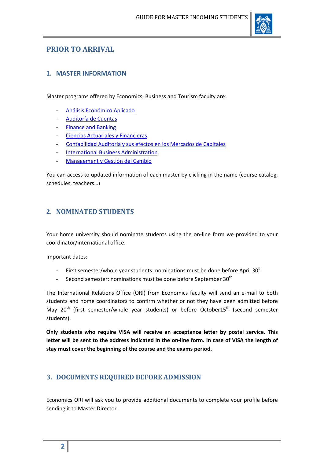

## PRIOR TO ARRIVAL

## 1. MASTER INFORMATION

Master programs offered by Economics, Business and Tourism faculty are:

- Análisis Económico Aplicado
- Auditoría de Cuentas
- Finance and Banking
- Ciencias Actuariales y Financieras
- Contabilidad Auditoría y sus efectos en los Mercados de Capitales
- International Business Administration
- Management y Gestión del Cambio

You can access to updated information of each master by clicking in the name (course catalog, schedules, teachers…)

## 2. NOMINATED STUDENTS

Your home university should nominate students using the on-line form we provided to your coordinator/international office.

Important dates:

- First semester/whole year students: nominations must be done before April  $30<sup>th</sup>$
- Second semester: nominations must be done before September  $30<sup>th</sup>$

The International Relations Office (ORI) from Economics faculty will send an e-mail to both students and home coordinators to confirm whether or not they have been admitted before May  $20<sup>th</sup>$  (first semester/whole year students) or before October15<sup>th</sup> (second semester students).

Only students who require VISA will receive an acceptance letter by postal service. This letter will be sent to the address indicated in the on-line form. In case of VISA the length of stay must cover the beginning of the course and the exams period.

## 3. DOCUMENTS REQUIRED BEFORE ADMISSION

Economics ORI will ask you to provide additional documents to complete your profile before sending it to Master Director.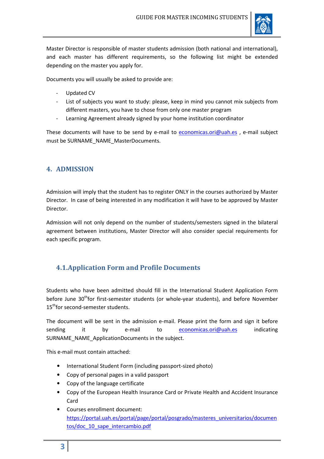

Master Director is responsible of master students admission (both national and international), and each master has different requirements, so the following list might be extended depending on the master you apply for.

Documents you will usually be asked to provide are:

- Updated CV
- List of subjects you want to study: please, keep in mind you cannot mix subjects from different masters, you have to chose from only one master program
- Learning Agreement already signed by your home institution coordinator

These documents will have to be send by e-mail to economicas.ori@uah.es , e-mail subject must be SURNAME\_NAME\_MasterDocuments.

## 4. ADMISSION

Admission will imply that the student has to register ONLY in the courses authorized by Master Director. In case of being interested in any modification it will have to be approved by Master **Director** 

Admission will not only depend on the number of students/semesters signed in the bilateral agreement between institutions, Master Director will also consider special requirements for each specific program.

## 4.1.Application Form and Profile Documents

Students who have been admitted should fill in the International Student Application Form before June 30<sup>th</sup>for first-semester students (or whole-year students), and before November 15<sup>th</sup>for second-semester students.

The document will be sent in the admission e-mail. Please print the form and sign it before sending it by e-mail to economicas.ori@uah.es indicating SURNAME\_NAME\_ApplicationDocuments in the subject.

This e-mail must contain attached:

- International Student Form (including passport-sized photo)
- Copy of personal pages in a valid passport
- Copy of the language certificate
- Copy of the European Health Insurance Card or Private Health and Accident Insurance Card
- Courses enrollment document: https://portal.uah.es/portal/page/portal/posgrado/masteres\_universitarios/documen tos/doc\_10\_sape\_intercambio.pdf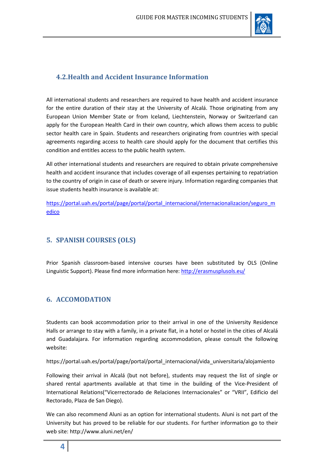

## 4.2.Health and Accident Insurance Information

All international students and researchers are required to have health and accident insurance for the entire duration of their stay at the University of Alcalá. Those originating from any European Union Member State or from Iceland, Liechtenstein, Norway or Switzerland can apply for the European Health Card in their own country, which allows them access to public sector health care in Spain. Students and researchers originating from countries with special agreements regarding access to health care should apply for the document that certifies this condition and entitles access to the public health system.

All other international students and researchers are required to obtain private comprehensive health and accident insurance that includes coverage of all expenses pertaining to repatriation to the country of origin in case of death or severe injury. Information regarding companies that issue students health insurance is available at:

https://portal.uah.es/portal/page/portal/portal\_internacional/internacionalizacion/seguro\_m edico

## 5. SPANISH COURSES (OLS)

Prior Spanish classroom-based intensive courses have been substituted by OLS (Online Linguistic Support). Please find more information here: http://erasmusplusols.eu/

## 6. ACCOMODATION

Students can book accommodation prior to their arrival in one of the University Residence Halls or arrange to stay with a family, in a private flat, in a hotel or hostel in the cities of Alcalá and Guadalajara. For information regarding accommodation, please consult the following website:

#### https://portal.uah.es/portal/page/portal/portal\_internacional/vida\_universitaria/alojamiento

Following their arrival in Alcalá (but not before), students may request the list of single or shared rental apartments available at that time in the building of the Vice-President of International Relations("Vicerrectorado de Relaciones Internacionales" or "VRII", Edificio del Rectorado, Plaza de San Diego).

We can also recommend Aluni as an option for international students. Aluni is not part of the University but has proved to be reliable for our students. For further information go to their web site: http://www.aluni.net/en/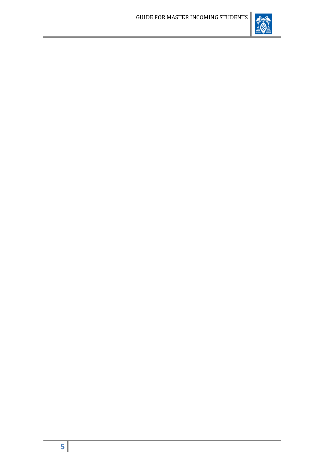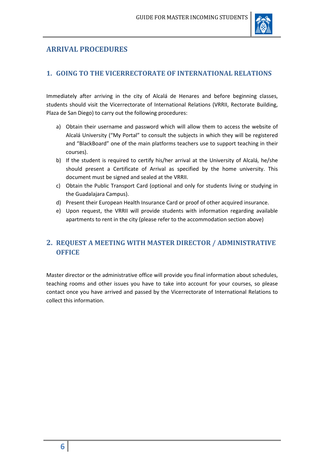

## ARRIVAL PROCEDURES

## 1. GOING TO THE VICERRECTORATE OF INTERNATIONAL RELATIONS

Immediately after arriving in the city of Alcalá de Henares and before beginning classes, students should visit the Vicerrectorate of International Relations (VRRII, Rectorate Building, Plaza de San Diego) to carry out the following procedures:

- a) Obtain their username and password which will allow them to access the website of Alcalá University ("My Portal" to consult the subjects in which they will be registered and "BlackBoard" one of the main platforms teachers use to support teaching in their courses).
- b) If the student is required to certify his/her arrival at the University of Alcalá, he/she should present a Certificate of Arrival as specified by the home university. This document must be signed and sealed at the VRRII.
- c) Obtain the Public Transport Card (optional and only for students living or studying in the Guadalajara Campus).
- d) Present their European Health Insurance Card or proof of other acquired insurance.
- e) Upon request, the VRRII will provide students with information regarding available apartments to rent in the city (please refer to the accommodation section above)

## 2. REQUEST A MEETING WITH MASTER DIRECTOR / ADMINISTRATIVE **OFFICE**

Master director or the administrative office will provide you final information about schedules, teaching rooms and other issues you have to take into account for your courses, so please contact once you have arrived and passed by the Vicerrectorate of International Relations to collect this information.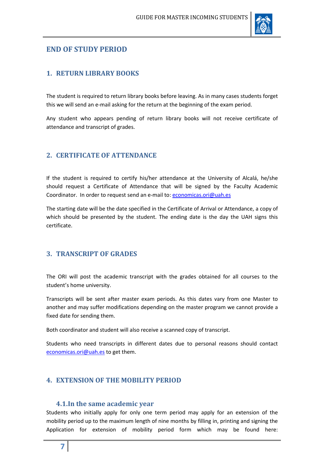

## END OF STUDY PERIOD

## 1. RETURN LIBRARY BOOKS

The student is required to return library books before leaving. As in many cases students forget this we will send an e-mail asking for the return at the beginning of the exam period.

Any student who appears pending of return library books will not receive certificate of attendance and transcript of grades.

## 2. CERTIFICATE OF ATTENDANCE

If the student is required to certify his/her attendance at the University of Alcalá, he/she should request a Certificate of Attendance that will be signed by the Faculty Academic Coordinator. In order to request send an e-mail to: economicas.ori@uah.es

The starting date will be the date specified in the Certificate of Arrival or Attendance, a copy of which should be presented by the student. The ending date is the day the UAH signs this certificate.

#### 3. TRANSCRIPT OF GRADES

The ORI will post the academic transcript with the grades obtained for all courses to the student's home university.

Transcripts will be sent after master exam periods. As this dates vary from one Master to another and may suffer modifications depending on the master program we cannot provide a fixed date for sending them.

Both coordinator and student will also receive a scanned copy of transcript.

Students who need transcripts in different dates due to personal reasons should contact economicas.ori@uah.es to get them.

## 4. EXTENSION OF THE MOBILITY PERIOD

#### 4.1.In the same academic year

Students who initially apply for only one term period may apply for an extension of the mobility period up to the maximum length of nine months by filling in, printing and signing the Application for extension of mobility period form which may be found here: